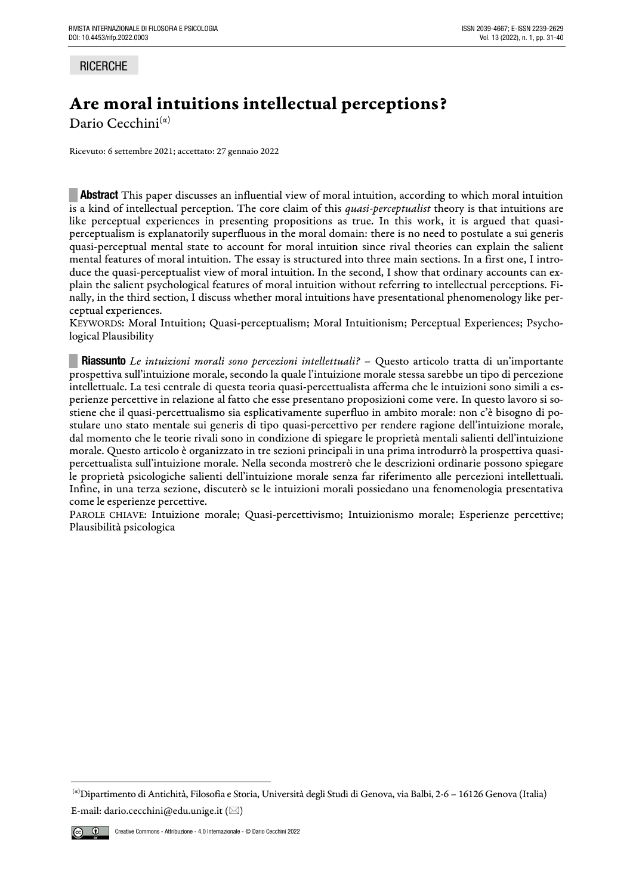# **RICERCHE**

# Are moral intuitions intellectual perceptions?

Dario Cecchini $(\alpha)$ 

Ricevuto: 6 settembre 2021; accettato: 27 gennaio 2022

**EXECUTE:** Abstract This paper discusses an influential view of moral intuition, according to which moral intuition is a kind of intellectual perception. The core claim of this *quasi-perceptualist* theory is that intuitions are like perceptual experiences in presenting propositions as true. In this work, it is argued that quasiperceptualism is explanatorily superfluous in the moral domain: there is no need to postulate a sui generis quasi-perceptual mental state to account for moral intuition since rival theories can explain the salient mental features of moral intuition. The essay is structured into three main sections. In a first one, I introduce the quasi-perceptualist view of moral intuition. In the second, I show that ordinary accounts can explain the salient psychological features of moral intuition without referring to intellectual perceptions. Finally, in the third section, I discuss whether moral intuitions have presentational phenomenology like perceptual experiences.

KEYWORDS: Moral Intuition; Quasi-perceptualism; Moral Intuitionism; Perceptual Experiences; Psychological Plausibility

**█ Riassunto** *Le intuizioni morali sono percezioni intellettuali?* – Questo articolo tratta di un'importante prospettiva sull'intuizione morale, secondo la quale l'intuizione morale stessa sarebbe un tipo di percezione intellettuale. La tesi centrale di questa teoria quasi-percettualista afferma che le intuizioni sono simili a esperienze percettive in relazione al fatto che esse presentano proposizioni come vere. In questo lavoro si sostiene che il quasi-percettualismo sia esplicativamente superfluo in ambito morale: non c'è bisogno di postulare uno stato mentale sui generis di tipo quasi-percettivo per rendere ragione dell'intuizione morale, dal momento che le teorie rivali sono in condizione di spiegare le proprietà mentali salienti dell'intuizione morale. Questo articolo è organizzato in tre sezioni principali in una prima introdurrò la prospettiva quasipercettualista sull'intuizione morale. Nella seconda mostrerò che le descrizioni ordinarie possono spiegare le proprietà psicologiche salienti dell'intuizione morale senza far riferimento alle percezioni intellettuali. Infine, in una terza sezione, discuterò se le intuizioni morali possiedano una fenomenologia presentativa come le esperienze percettive.

PAROLE CHIAVE: Intuizione morale; Quasi-percettivismo; Intuizionismo morale; Esperienze percettive; Plausibilità psicologica

<sup>(</sup>α)Dipartimento di Antichità, Filosofia e Storia, Università degli Studi di Genova, via Balbi, 2-6 – 16126 Genova (Italia) E-mail: dario.cecchini@edu.unige.it ( $\boxtimes$ )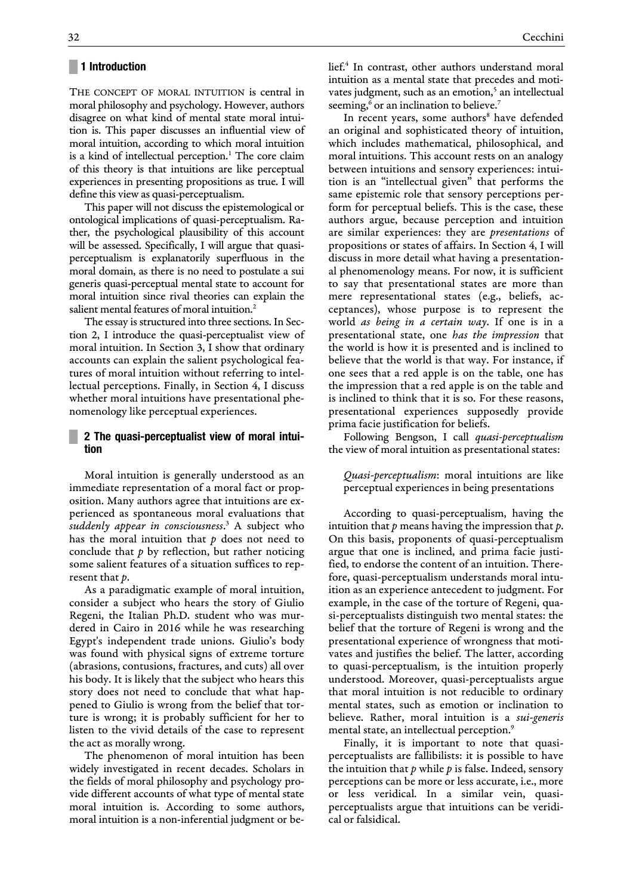## **█ 1 Introduction**

THE CONCEPT OF MORAL INTUITION is central in moral philosophy and psychology. However, authors disagree on what kind of mental state moral intuition is. This paper discusses an influential view of moral intuition, according to which moral intuition is a kind of intellectual perception.<sup>1</sup> The core claim of this theory is that intuitions are like perceptual experiences in presenting propositions as true. I will define this view as quasi-perceptualism.

This paper will not discuss the epistemological or ontological implications of quasi-perceptualism. Rather, the psychological plausibility of this account will be assessed. Specifically, I will argue that quasiperceptualism is explanatorily superfluous in the moral domain, as there is no need to postulate a sui generis quasi-perceptual mental state to account for moral intuition since rival theories can explain the salient mental features of moral intuition.<sup>2</sup>

The essay is structured into three sections. In Section 2, I introduce the quasi-perceptualist view of moral intuition. In Section 3, I show that ordinary accounts can explain the salient psychological features of moral intuition without referring to intellectual perceptions. Finally, in Section 4, I discuss whether moral intuitions have presentational phenomenology like perceptual experiences.

# **█ 2 The quasi-perceptualist view of moral intuition**

Moral intuition is generally understood as an immediate representation of a moral fact or proposition. Many authors agree that intuitions are experienced as spontaneous moral evaluations that *suddenly appear in consciousness*. <sup>3</sup> A subject who has the moral intuition that *p* does not need to conclude that *p* by reflection, but rather noticing some salient features of a situation suffices to represent that *p*.

As a paradigmatic example of moral intuition, consider a subject who hears the story of Giulio Regeni, the Italian Ph.D. student who was murdered in Cairo in 2016 while he was researching Egypt's independent trade unions. Giulio's body was found with physical signs of extreme torture (abrasions, contusions, fractures, and cuts) all over his body. It is likely that the subject who hears this story does not need to conclude that what happened to Giulio is wrong from the belief that torture is wrong; it is probably sufficient for her to listen to the vivid details of the case to represent the act as morally wrong.

The phenomenon of moral intuition has been widely investigated in recent decades. Scholars in the fields of moral philosophy and psychology provide different accounts of what type of mental state moral intuition is. According to some authors, moral intuition is a non-inferential judgment or be-

lief.<sup>4</sup> In contrast, other authors understand moral intuition as a mental state that precedes and motivates judgment, such as an emotion,<sup>5</sup> an intellectual seeming,<sup>6</sup> or an inclination to believe.<sup>7</sup>

In recent years, some authors<sup>8</sup> have defended an original and sophisticated theory of intuition, which includes mathematical, philosophical, and moral intuitions. This account rests on an analogy between intuitions and sensory experiences: intuition is an "intellectual given" that performs the same epistemic role that sensory perceptions perform for perceptual beliefs. This is the case, these authors argue, because perception and intuition are similar experiences: they are *presentations* of propositions or states of affairs. In Section 4, I will discuss in more detail what having a presentational phenomenology means. For now, it is sufficient to say that presentational states are more than mere representational states (e.g., beliefs, acceptances), whose purpose is to represent the world *as being in a certain way*. If one is in a presentational state, one *has the impression* that the world is how it is presented and is inclined to believe that the world is that way. For instance, if one sees that a red apple is on the table, one has the impression that a red apple is on the table and is inclined to think that it is so. For these reasons, presentational experiences supposedly provide prima facie justification for beliefs.

Following Bengson, I call *quasi-perceptualism* the view of moral intuition as presentational states:

*Quasi-perceptualism*: moral intuitions are like perceptual experiences in being presentations

According to quasi-perceptualism, having the intuition that *p* means having the impression that *p*. On this basis, proponents of quasi-perceptualism argue that one is inclined, and prima facie justified, to endorse the content of an intuition. Therefore, quasi-perceptualism understands moral intuition as an experience antecedent to judgment. For example, in the case of the torture of Regeni, quasi-perceptualists distinguish two mental states: the belief that the torture of Regeni is wrong and the presentational experience of wrongness that motivates and justifies the belief. The latter, according to quasi-perceptualism, is the intuition properly understood. Moreover, quasi-perceptualists argue that moral intuition is not reducible to ordinary mental states, such as emotion or inclination to believe. Rather, moral intuition is a *sui-generis* mental state, an intellectual perception.<sup>9</sup>

Finally, it is important to note that quasiperceptualists are fallibilists: it is possible to have the intuition that *p* while *p* is false. Indeed, sensory perceptions can be more or less accurate, i.e., more or less veridical. In a similar vein, quasiperceptualists argue that intuitions can be veridical or falsidical.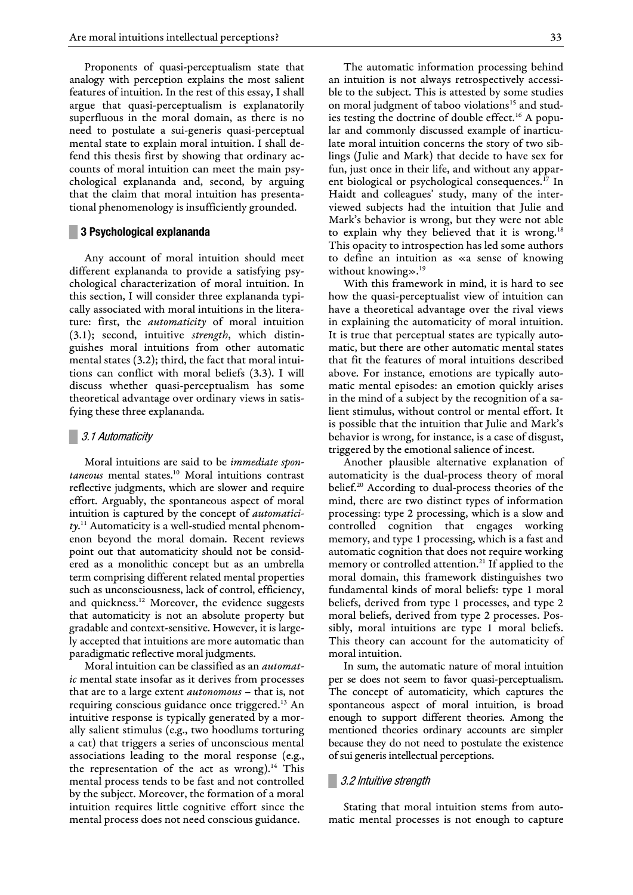Proponents of quasi-perceptualism state that analogy with perception explains the most salient features of intuition. In the rest of this essay, I shall argue that quasi-perceptualism is explanatorily superfluous in the moral domain, as there is no need to postulate a sui-generis quasi-perceptual mental state to explain moral intuition. I shall defend this thesis first by showing that ordinary accounts of moral intuition can meet the main psychological explananda and, second, by arguing that the claim that moral intuition has presentational phenomenology is insufficiently grounded.

#### **█ 3 Psychological explananda**

Any account of moral intuition should meet different explananda to provide a satisfying psychological characterization of moral intuition. In this section, I will consider three explananda typically associated with moral intuitions in the literature: first, the *automaticity* of moral intuition (3.1); second, intuitive *strength*, which distinguishes moral intuitions from other automatic mental states (3.2); third, the fact that moral intuitions can conflict with moral beliefs (3.3). I will discuss whether quasi-perceptualism has some theoretical advantage over ordinary views in satisfying these three explananda.

## **█** 3.1 Automaticity

Moral intuitions are said to be *immediate spontaneous* mental states.<sup>10</sup> Moral intuitions contrast reflective judgments, which are slower and require effort. Arguably, the spontaneous aspect of moral intuition is captured by the concept of *automaticity*. <sup>11</sup> Automaticity is a well-studied mental phenomenon beyond the moral domain. Recent reviews point out that automaticity should not be considered as a monolithic concept but as an umbrella term comprising different related mental properties such as unconsciousness, lack of control, efficiency, and quickness.<sup>12</sup> Moreover, the evidence suggests that automaticity is not an absolute property but gradable and context-sensitive. However, it is largely accepted that intuitions are more automatic than paradigmatic reflective moral judgments.

Moral intuition can be classified as an *automatic* mental state insofar as it derives from processes that are to a large extent *autonomous* – that is, not requiring conscious guidance once triggered.<sup>13</sup> An intuitive response is typically generated by a morally salient stimulus (e.g., two hoodlums torturing a cat) that triggers a series of unconscious mental associations leading to the moral response (e.g., the representation of the act as wrong).<sup>14</sup> This mental process tends to be fast and not controlled by the subject. Moreover, the formation of a moral intuition requires little cognitive effort since the mental process does not need conscious guidance.

The automatic information processing behind an intuition is not always retrospectively accessible to the subject. This is attested by some studies on moral judgment of taboo violations<sup>15</sup> and studies testing the doctrine of double effect.<sup>16</sup> A popular and commonly discussed example of inarticulate moral intuition concerns the story of two siblings (Julie and Mark) that decide to have sex for fun, just once in their life, and without any apparent biological or psychological consequences.<sup>17</sup> In Haidt and colleagues' study, many of the interviewed subjects had the intuition that Julie and Mark's behavior is wrong, but they were not able to explain why they believed that it is wrong.<sup>18</sup> This opacity to introspection has led some authors to define an intuition as «a sense of knowing without knowing  $\gg$ .<sup>19</sup>

With this framework in mind, it is hard to see how the quasi-perceptualist view of intuition can have a theoretical advantage over the rival views in explaining the automaticity of moral intuition. It is true that perceptual states are typically automatic, but there are other automatic mental states that fit the features of moral intuitions described above. For instance, emotions are typically automatic mental episodes: an emotion quickly arises in the mind of a subject by the recognition of a salient stimulus, without control or mental effort. It is possible that the intuition that Julie and Mark's behavior is wrong, for instance, is a case of disgust, triggered by the emotional salience of incest.

Another plausible alternative explanation of automaticity is the dual-process theory of moral belief. <sup>20</sup> According to dual-process theories of the mind, there are two distinct types of information processing: type 2 processing, which is a slow and controlled cognition that engages working memory, and type 1 processing, which is a fast and automatic cognition that does not require working memory or controlled attention.<sup>21</sup> If applied to the moral domain, this framework distinguishes two fundamental kinds of moral beliefs: type 1 moral beliefs, derived from type 1 processes, and type 2 moral beliefs, derived from type 2 processes. Possibly, moral intuitions are type 1 moral beliefs. This theory can account for the automaticity of moral intuition.

In sum, the automatic nature of moral intuition per se does not seem to favor quasi-perceptualism. The concept of automaticity, which captures the spontaneous aspect of moral intuition, is broad enough to support different theories. Among the mentioned theories ordinary accounts are simpler because they do not need to postulate the existence of sui generis intellectual perceptions.

## **█** 3.2 Intuitive strength

Stating that moral intuition stems from automatic mental processes is not enough to capture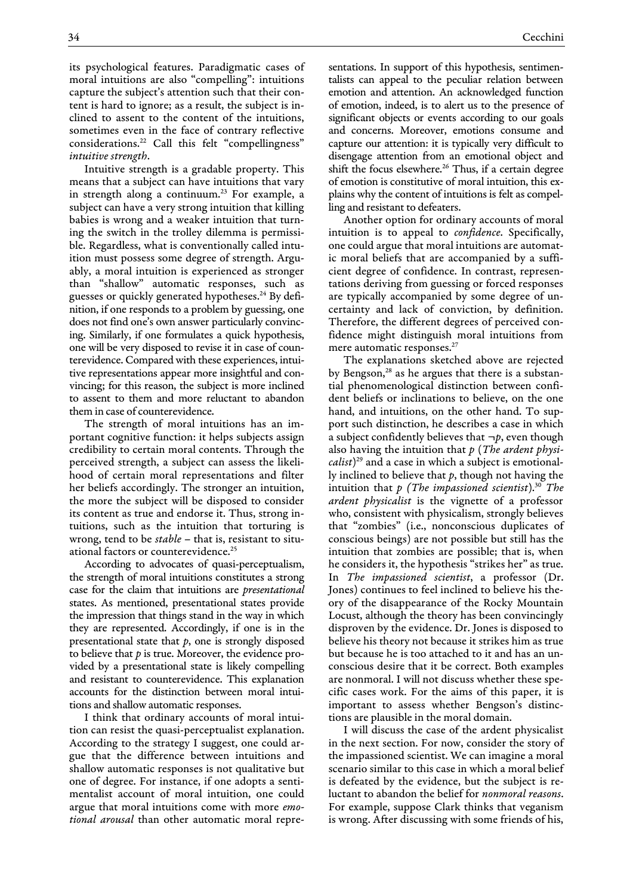its psychological features. Paradigmatic cases of moral intuitions are also "compelling": intuitions capture the subject's attention such that their content is hard to ignore; as a result, the subject is inclined to assent to the content of the intuitions, sometimes even in the face of contrary reflective considerations.<sup>22</sup> Call this felt "compellingness" *intuitive strength*.

Intuitive strength is a gradable property. This means that a subject can have intuitions that vary in strength along a continuum.<sup>23</sup> For example, a subject can have a very strong intuition that killing babies is wrong and a weaker intuition that turning the switch in the trolley dilemma is permissible. Regardless, what is conventionally called intuition must possess some degree of strength. Arguably, a moral intuition is experienced as stronger than "shallow" automatic responses, such as guesses or quickly generated hypotheses. <sup>24</sup> By definition, if one responds to a problem by guessing, one does not find one's own answer particularly convincing. Similarly, if one formulates a quick hypothesis, one will be very disposed to revise it in case of counterevidence. Compared with these experiences, intuitive representations appear more insightful and convincing; for this reason, the subject is more inclined to assent to them and more reluctant to abandon them in case of counterevidence.

The strength of moral intuitions has an important cognitive function: it helps subjects assign credibility to certain moral contents. Through the perceived strength, a subject can assess the likelihood of certain moral representations and filter her beliefs accordingly. The stronger an intuition, the more the subject will be disposed to consider its content as true and endorse it. Thus, strong intuitions, such as the intuition that torturing is wrong, tend to be *stable* – that is, resistant to situational factors or counterevidence.<sup>25</sup>

According to advocates of quasi-perceptualism, the strength of moral intuitions constitutes a strong case for the claim that intuitions are *presentational* states. As mentioned, presentational states provide the impression that things stand in the way in which they are represented. Accordingly, if one is in the presentational state that *p*, one is strongly disposed to believe that *p* is true. Moreover, the evidence provided by a presentational state is likely compelling and resistant to counterevidence. This explanation accounts for the distinction between moral intuitions and shallow automatic responses.

I think that ordinary accounts of moral intuition can resist the quasi-perceptualist explanation. According to the strategy I suggest, one could argue that the difference between intuitions and shallow automatic responses is not qualitative but one of degree. For instance, if one adopts a sentimentalist account of moral intuition, one could argue that moral intuitions come with more *emotional arousal* than other automatic moral representations. In support of this hypothesis, sentimentalists can appeal to the peculiar relation between emotion and attention. An acknowledged function of emotion, indeed, is to alert us to the presence of significant objects or events according to our goals and concerns. Moreover, emotions consume and capture our attention: it is typically very difficult to disengage attention from an emotional object and shift the focus elsewhere.<sup>26</sup> Thus, if a certain degree of emotion is constitutive of moral intuition, this explains why the content of intuitions is felt as compelling and resistant to defeaters.

Another option for ordinary accounts of moral intuition is to appeal to *confidence*. Specifically, one could argue that moral intuitions are automatic moral beliefs that are accompanied by a sufficient degree of confidence. In contrast, representations deriving from guessing or forced responses are typically accompanied by some degree of uncertainty and lack of conviction, by definition. Therefore, the different degrees of perceived confidence might distinguish moral intuitions from mere automatic responses.<sup>27</sup>

The explanations sketched above are rejected by Bengson,<sup>28</sup> as he argues that there is a substantial phenomenological distinction between confident beliefs or inclinations to believe, on the one hand, and intuitions, on the other hand. To support such distinction, he describes a case in which a subject confidently believes that  $\neg p$ , even though also having the intuition that *p* (*The ardent physicalist*) <sup>29</sup> and a case in which a subject is emotionally inclined to believe that *p*, though not having the intuition that *p (The impassioned scientist*).<sup>30</sup> *The ardent physicalist* is the vignette of a professor who, consistent with physicalism, strongly believes that "zombies" (i.e., nonconscious duplicates of conscious beings) are not possible but still has the intuition that zombies are possible; that is, when he considers it, the hypothesis "strikes her" as true. In *The impassioned scientist*, a professor (Dr. Jones) continues to feel inclined to believe his theory of the disappearance of the Rocky Mountain Locust, although the theory has been convincingly disproven by the evidence. Dr. Jones is disposed to believe his theory not because it strikes him as true but because he is too attached to it and has an unconscious desire that it be correct. Both examples are nonmoral. I will not discuss whether these specific cases work. For the aims of this paper, it is important to assess whether Bengson's distinctions are plausible in the moral domain.

I will discuss the case of the ardent physicalist in the next section. For now, consider the story of the impassioned scientist. We can imagine a moral scenario similar to this case in which a moral belief is defeated by the evidence, but the subject is reluctant to abandon the belief for *nonmoral reasons*. For example, suppose Clark thinks that veganism is wrong. After discussing with some friends of his,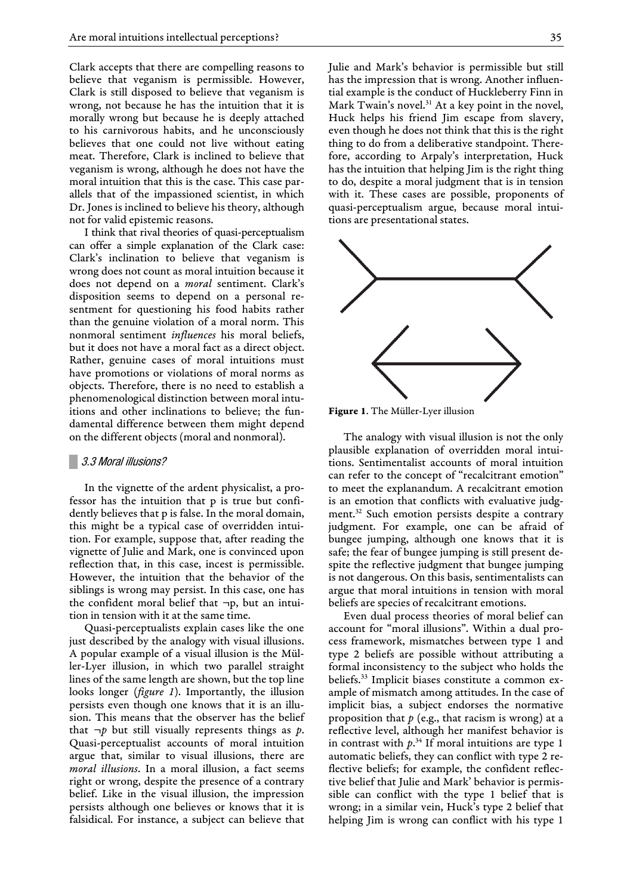Clark accepts that there are compelling reasons to believe that veganism is permissible. However, Clark is still disposed to believe that veganism is wrong, not because he has the intuition that it is morally wrong but because he is deeply attached to his carnivorous habits, and he unconsciously believes that one could not live without eating meat. Therefore, Clark is inclined to believe that veganism is wrong, although he does not have the moral intuition that this is the case. This case parallels that of the impassioned scientist, in which Dr. Jones is inclined to believe his theory, although not for valid epistemic reasons.

I think that rival theories of quasi-perceptualism can offer a simple explanation of the Clark case: Clark's inclination to believe that veganism is wrong does not count as moral intuition because it does not depend on a *moral* sentiment. Clark's disposition seems to depend on a personal resentment for questioning his food habits rather than the genuine violation of a moral norm. This nonmoral sentiment *influences* his moral beliefs, but it does not have a moral fact as a direct object. Rather, genuine cases of moral intuitions must have promotions or violations of moral norms as objects. Therefore, there is no need to establish a phenomenological distinction between moral intuitions and other inclinations to believe; the fundamental difference between them might depend on the different objects (moral and nonmoral).

### **█** 3.3 Moral illusions?

In the vignette of the ardent physicalist, a professor has the intuition that p is true but confidently believes that p is false. In the moral domain, this might be a typical case of overridden intuition. For example, suppose that, after reading the vignette of Julie and Mark, one is convinced upon reflection that, in this case, incest is permissible. However, the intuition that the behavior of the siblings is wrong may persist. In this case, one has the confident moral belief that  $\neg p$ , but an intuition in tension with it at the same time.

Quasi-perceptualists explain cases like the one just described by the analogy with visual illusions. A popular example of a visual illusion is the Müller-Lyer illusion, in which two parallel straight lines of the same length are shown, but the top line looks longer (*figure 1*). Importantly, the illusion persists even though one knows that it is an illusion. This means that the observer has the belief that  $\neg p$  but still visually represents things as p. Quasi-perceptualist accounts of moral intuition argue that, similar to visual illusions, there are *moral illusions*. In a moral illusion, a fact seems right or wrong, despite the presence of a contrary belief. Like in the visual illusion, the impression persists although one believes or knows that it is falsidical. For instance, a subject can believe that

Julie and Mark's behavior is permissible but still has the impression that is wrong. Another influential example is the conduct of Huckleberry Finn in Mark Twain's novel.<sup>31</sup> At a key point in the novel, Huck helps his friend Jim escape from slavery, even though he does not think that this is the right thing to do from a deliberative standpoint. Therefore, according to Arpaly's interpretation, Huck has the intuition that helping Jim is the right thing to do, despite a moral judgment that is in tension with it. These cases are possible, proponents of quasi-perceptualism argue, because moral intuitions are presentational states.



Figure 1. The Müller-Lyer illusion

The analogy with visual illusion is not the only plausible explanation of overridden moral intuitions. Sentimentalist accounts of moral intuition can refer to the concept of "recalcitrant emotion" to meet the explanandum. A recalcitrant emotion is an emotion that conflicts with evaluative judgment.<sup>32</sup> Such emotion persists despite a contrary judgment. For example, one can be afraid of bungee jumping, although one knows that it is safe; the fear of bungee jumping is still present despite the reflective judgment that bungee jumping is not dangerous. On this basis, sentimentalists can argue that moral intuitions in tension with moral beliefs are species of recalcitrant emotions.

Even dual process theories of moral belief can account for "moral illusions". Within a dual process framework, mismatches between type 1 and type 2 beliefs are possible without attributing a formal inconsistency to the subject who holds the beliefs.<sup>33</sup> Implicit biases constitute a common example of mismatch among attitudes. In the case of implicit bias, a subject endorses the normative proposition that *p* (e.g., that racism is wrong) at a reflective level, although her manifest behavior is in contrast with  $p^{34}$  If moral intuitions are type 1 automatic beliefs, they can conflict with type 2 reflective beliefs; for example, the confident reflective belief that Julie and Mark' behavior is permissible can conflict with the type 1 belief that is wrong; in a similar vein, Huck's type 2 belief that helping Jim is wrong can conflict with his type 1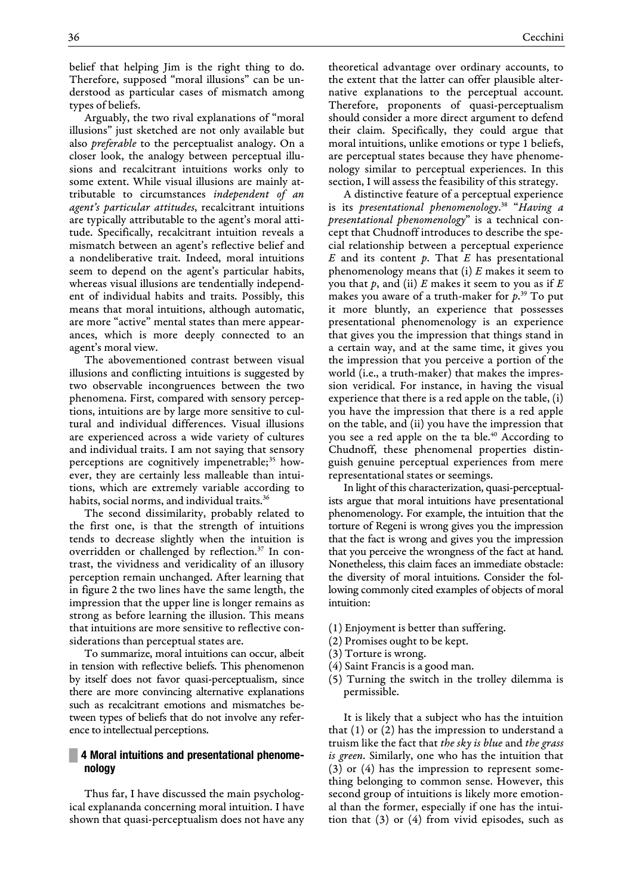belief that helping Jim is the right thing to do. Therefore, supposed "moral illusions" can be understood as particular cases of mismatch among types of beliefs.

Arguably, the two rival explanations of "moral illusions" just sketched are not only available but also *preferable* to the perceptualist analogy. On a closer look, the analogy between perceptual illusions and recalcitrant intuitions works only to some extent. While visual illusions are mainly attributable to circumstances *independent of an agent's particular attitudes*, recalcitrant intuitions are typically attributable to the agent's moral attitude. Specifically, recalcitrant intuition reveals a mismatch between an agent's reflective belief and a nondeliberative trait. Indeed, moral intuitions seem to depend on the agent's particular habits, whereas visual illusions are tendentially independent of individual habits and traits. Possibly, this means that moral intuitions, although automatic, are more "active" mental states than mere appearances, which is more deeply connected to an agent's moral view.

The abovementioned contrast between visual illusions and conflicting intuitions is suggested by two observable incongruences between the two phenomena. First, compared with sensory perceptions, intuitions are by large more sensitive to cultural and individual differences. Visual illusions are experienced across a wide variety of cultures and individual traits. I am not saying that sensory perceptions are cognitively impenetrable;<sup>35</sup> however, they are certainly less malleable than intuitions, which are extremely variable according to habits, social norms, and individual traits.<sup>36</sup>

The second dissimilarity, probably related to the first one, is that the strength of intuitions tends to decrease slightly when the intuition is overridden or challenged by reflection.<sup>37</sup> In contrast, the vividness and veridicality of an illusory perception remain unchanged. After learning that in figure 2 the two lines have the same length, the impression that the upper line is longer remains as strong as before learning the illusion. This means that intuitions are more sensitive to reflective considerations than perceptual states are.

To summarize, moral intuitions can occur, albeit in tension with reflective beliefs. This phenomenon by itself does not favor quasi-perceptualism, since there are more convincing alternative explanations such as recalcitrant emotions and mismatches between types of beliefs that do not involve any reference to intellectual perceptions.

# **EXECUTE:** 4 Moral intuitions and presentational phenome**nology**

Thus far, I have discussed the main psychological explananda concerning moral intuition. I have shown that quasi-perceptualism does not have any theoretical advantage over ordinary accounts, to the extent that the latter can offer plausible alternative explanations to the perceptual account. Therefore, proponents of quasi-perceptualism should consider a more direct argument to defend their claim. Specifically, they could argue that moral intuitions, unlike emotions or type 1 beliefs, are perceptual states because they have phenomenology similar to perceptual experiences. In this section, I will assess the feasibility of this strategy.

A distinctive feature of a perceptual experience is its *presentational phenomenology*. 38 "*Having a presentational phenomenology*" is a technical concept that Chudnoff introduces to describe the special relationship between a perceptual experience *E* and its content *p*. That *E* has presentational phenomenology means that (i) *E* makes it seem to you that *p*, and (ii) *E* makes it seem to you as if *E* makes you aware of a truth-maker for *p*. <sup>39</sup> To put it more bluntly, an experience that possesses presentational phenomenology is an experience that gives you the impression that things stand in a certain way, and at the same time, it gives you the impression that you perceive a portion of the world (i.e., a truth-maker) that makes the impression veridical. For instance, in having the visual experience that there is a red apple on the table, (i) you have the impression that there is a red apple on the table, and (ii) you have the impression that you see a red apple on the ta ble.<sup>40</sup> According to Chudnoff, these phenomenal properties distinguish genuine perceptual experiences from mere representational states or seemings.

In light of this characterization, quasi-perceptualists argue that moral intuitions have presentational phenomenology. For example, the intuition that the torture of Regeni is wrong gives you the impression that the fact is wrong and gives you the impression that you perceive the wrongness of the fact at hand. Nonetheless, this claim faces an immediate obstacle: the diversity of moral intuitions. Consider the following commonly cited examples of objects of moral intuition:

- (1) Enjoyment is better than suffering.
- (2) Promises ought to be kept.
- (3) Torture is wrong.
- (4) Saint Francis is a good man.
- (5) Turning the switch in the trolley dilemma is permissible.

It is likely that a subject who has the intuition that (1) or (2) has the impression to understand a truism like the fact that *the sky is blue* and *the grass is green*. Similarly, one who has the intuition that (3) or (4) has the impression to represent something belonging to common sense. However, this second group of intuitions is likely more emotional than the former, especially if one has the intuition that (3) or (4) from vivid episodes, such as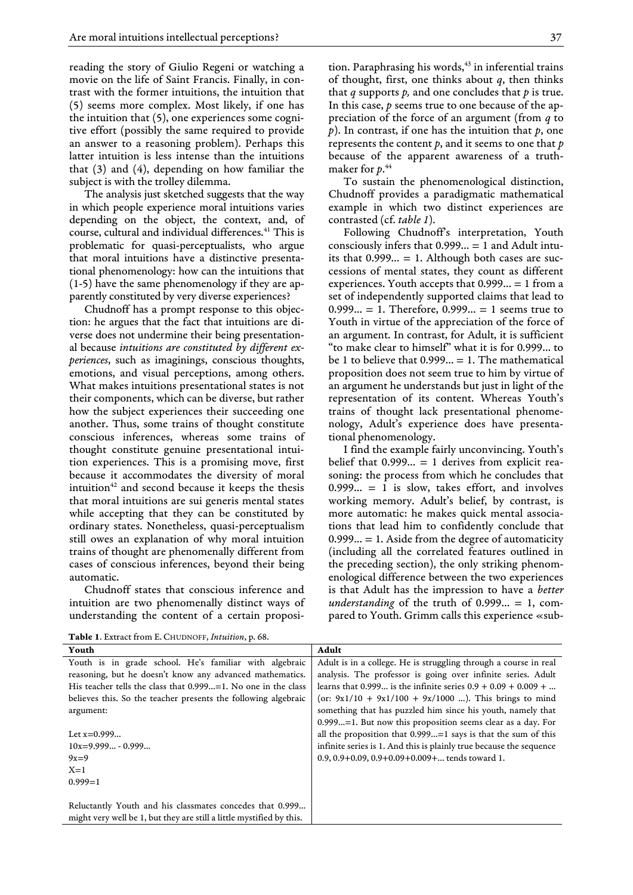reading the story of Giulio Regeni or watching a movie on the life of Saint Francis. Finally, in contrast with the former intuitions, the intuition that (5) seems more complex. Most likely, if one has the intuition that (5), one experiences some cognitive effort (possibly the same required to provide an answer to a reasoning problem). Perhaps this latter intuition is less intense than the intuitions that (3) and (4), depending on how familiar the subject is with the trolley dilemma.

The analysis just sketched suggests that the way in which people experience moral intuitions varies depending on the object, the context, and, of course, cultural and individual differences.<sup>41</sup> This is problematic for quasi-perceptualists, who argue that moral intuitions have a distinctive presentational phenomenology: how can the intuitions that (1-5) have the same phenomenology if they are apparently constituted by very diverse experiences?

Chudnoff has a prompt response to this objection: he argues that the fact that intuitions are diverse does not undermine their being presentational because *intuitions are constituted by different experiences*, such as imaginings, conscious thoughts, emotions, and visual perceptions, among others. What makes intuitions presentational states is not their components, which can be diverse, but rather how the subject experiences their succeeding one another. Thus, some trains of thought constitute conscious inferences, whereas some trains of thought constitute genuine presentational intuition experiences. This is a promising move, first because it accommodates the diversity of moral intuition<sup>42</sup> and second because it keeps the thesis that moral intuitions are sui generis mental states while accepting that they can be constituted by ordinary states. Nonetheless, quasi-perceptualism still owes an explanation of why moral intuition trains of thought are phenomenally different from cases of conscious inferences, beyond their being automatic.

Chudnoff states that conscious inference and intuition are two phenomenally distinct ways of understanding the content of a certain proposition. Paraphrasing his words, $43$  in inferential trains of thought, first, one thinks about *q*, then thinks that *q* supports *p,* and one concludes that *p* is true. In this case, *p* seems true to one because of the appreciation of the force of an argument (from *q* to *p*). In contrast, if one has the intuition that *p*, one represents the content *p*, and it seems to one that *p* because of the apparent awareness of a truthmaker for *p*. 44

To sustain the phenomenological distinction, Chudnoff provides a paradigmatic mathematical example in which two distinct experiences are contrasted (cf. *table 1*).

Following Chudnoff's interpretation, Youth consciously infers that  $0.999... = 1$  and Adult intuits that  $0.999... = 1$ . Although both cases are successions of mental states, they count as different experiences. Youth accepts that 0.999… = 1 from a set of independently supported claims that lead to  $0.999... = 1$ . Therefore,  $0.999... = 1$  seems true to Youth in virtue of the appreciation of the force of an argument. In contrast, for Adult, it is sufficient "to make clear to himself" what it is for 0.999… to be 1 to believe that  $0.999... = 1$ . The mathematical proposition does not seem true to him by virtue of an argument he understands but just in light of the representation of its content. Whereas Youth's trains of thought lack presentational phenomenology, Adult's experience does have presentational phenomenology.

I find the example fairly unconvincing. Youth's belief that  $0.999... = 1$  derives from explicit reasoning: the process from which he concludes that  $0.999... = 1$  is slow, takes effort, and involves working memory. Adult's belief, by contrast, is more automatic: he makes quick mental associations that lead him to confidently conclude that  $0.999... = 1$ . Aside from the degree of automaticity (including all the correlated features outlined in the preceding section), the only striking phenomenological difference between the two experiences is that Adult has the impression to have a *better understanding* of the truth of 0.999… = 1, compared to Youth. Grimm calls this experience «sub-

Table 1. Extract from E.CHUDNOFF, *Intuition*, p. 68.

| Youth                                                                | Adult                                                               |
|----------------------------------------------------------------------|---------------------------------------------------------------------|
| Youth is in grade school. He's familiar with algebraic               | Adult is in a college. He is struggling through a course in real    |
| reasoning, but he doesn't know any advanced mathematics.             | analysis. The professor is going over infinite series. Adult        |
| His teacher tells the class that $0.999 = 1$ . No one in the class   | learns that 0.999 is the infinite series $0.9 + 0.09 + 0.009 + $    |
| believes this. So the teacher presents the following algebraic       | (or: $9x1/10 + 9x1/100 + 9x/1000$ ). This brings to mind            |
| argument:                                                            | something that has puzzled him since his youth, namely that         |
|                                                                      | $0.999$ =1. But now this proposition seems clear as a day. For      |
| Let $x=0.999$                                                        | all the proposition that $0.999=1$ says is that the sum of this     |
| $10x=9.999 - 0.999$                                                  | infinite series is 1. And this is plainly true because the sequence |
| $9x=9$                                                               | $0.9, 0.9 + 0.09, 0.9 + 0.09 + 0.009 + \dots$ tends toward 1.       |
| $X=1$                                                                |                                                                     |
| $0.999 = 1$                                                          |                                                                     |
|                                                                      |                                                                     |
| Reluctantly Youth and his classmates concedes that 0.999             |                                                                     |
| might very well be 1, but they are still a little mystified by this. |                                                                     |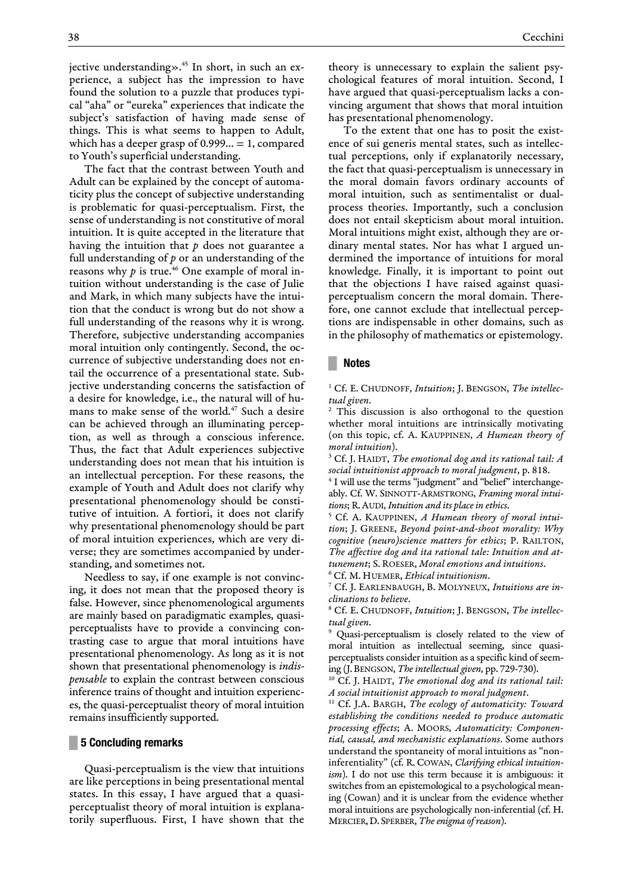jective understanding».<sup>45</sup> In short, in such an experience, a subject has the impression to have found the solution to a puzzle that produces typical "aha" or "eureka" experiences that indicate the subject's satisfaction of having made sense of things. This is what seems to happen to Adult, which has a deeper grasp of  $0.999... = 1$ , compared to Youth's superficial understanding.

The fact that the contrast between Youth and Adult can be explained by the concept of automaticity plus the concept of subjective understanding is problematic for quasi-perceptualism. First, the sense of understanding is not constitutive of moral intuition. It is quite accepted in the literature that having the intuition that *p* does not guarantee a full understanding of *p* or an understanding of the reasons why  $p$  is true.<sup>46</sup> One example of moral intuition without understanding is the case of Julie and Mark, in which many subjects have the intuition that the conduct is wrong but do not show a full understanding of the reasons why it is wrong. Therefore, subjective understanding accompanies moral intuition only contingently. Second, the occurrence of subjective understanding does not entail the occurrence of a presentational state. Subjective understanding concerns the satisfaction of a desire for knowledge, i.e., the natural will of humans to make sense of the world.<sup>47</sup> Such a desire can be achieved through an illuminating perception, as well as through a conscious inference. Thus, the fact that Adult experiences subjective understanding does not mean that his intuition is an intellectual perception. For these reasons, the example of Youth and Adult does not clarify why presentational phenomenology should be constitutive of intuition. A fortiori, it does not clarify why presentational phenomenology should be part of moral intuition experiences, which are very diverse; they are sometimes accompanied by understanding, and sometimes not.

Needless to say, if one example is not convincing, it does not mean that the proposed theory is false. However, since phenomenological arguments are mainly based on paradigmatic examples, quasiperceptualists have to provide a convincing contrasting case to argue that moral intuitions have presentational phenomenology. As long as it is not shown that presentational phenomenology is *indispensable* to explain the contrast between conscious inference trains of thought and intuition experiences, the quasi-perceptualist theory of moral intuition remains insufficiently supported.

## **█ 5 Concluding remarks**

Quasi-perceptualism is the view that intuitions are like perceptions in being presentational mental states. In this essay, I have argued that a quasiperceptualist theory of moral intuition is explanatorily superfluous. First, I have shown that the theory is unnecessary to explain the salient psychological features of moral intuition. Second, I have argued that quasi-perceptualism lacks a convincing argument that shows that moral intuition has presentational phenomenology.

To the extent that one has to posit the existence of sui generis mental states, such as intellectual perceptions, only if explanatorily necessary, the fact that quasi-perceptualism is unnecessary in the moral domain favors ordinary accounts of moral intuition, such as sentimentalist or dualprocess theories. Importantly, such a conclusion does not entail skepticism about moral intuition. Moral intuitions might exist, although they are ordinary mental states. Nor has what I argued undermined the importance of intuitions for moral knowledge. Finally, it is important to point out that the objections I have raised against quasiperceptualism concern the moral domain. Therefore, one cannot exclude that intellectual perceptions are indispensable in other domains, such as in the philosophy of mathematics or epistemology.

#### **█ Notes**

<sup>1</sup> Cf. E. CHUDNOFF, *Intuition*; J. BENGSON, *The intellectual given*.

<sup>2</sup> This discussion is also orthogonal to the question whether moral intuitions are intrinsically motivating (on this topic, cf. A. KAUPPINEN, *A Humean theory of moral intuition*).

<sup>3</sup> Cf. J. HAIDT, *The emotional dog and its rational tail: A social intuitionist approach to moral judgment*, p. 818.

<sup>4</sup> I will use the terms "judgment" and "belief" interchangeably. Cf. W. SINNOTT-ARMSTRONG, *Framing moral intuitions*; R.AUDI, *Intuition and its place in ethics*.

<sup>5</sup> Cf. A. KAUPPINEN, *A Humean theory of moral intuition*; J. GREENE, *Beyond point-and-shoot morality: Why cognitive (neuro)science matters for ethics*; P. RAILTON, *The affective dog and ita rational tale: Intuition and attunement*; S. ROESER, *Moral emotions and intuitions*. <sup>6</sup> Cf. M. HUEMER, *Ethical intuitionism*.

<sup>7</sup> Cf. J. EARLENBAUGH, B. MOLYNEUX, *Intuitions are inclinations to believe*.

<sup>8</sup> Cf. E. CHUDNOFF, *Intuition*; J. BENGSON, *The intellectual given*.

<sup>9</sup> Quasi-perceptualism is closely related to the view of moral intuition as intellectual seeming, since quasiperceptualists consider intuition as a specific kind of seeming (J.BENGSON, *The intellectual given*, pp. 729-730).

<sup>10</sup> Cf. J. HAIDT, *The emotional dog and its rational tail: A social intuitionist approach to moral judgment*.

<sup>11</sup> Cf. J.A. BARGH, *The ecology of automaticity: Toward establishing the conditions needed to produce automatic processing effects*; A. MOORS, *Automaticity: Componential, causal, and mechanistic explanations*. Some authors understand the spontaneity of moral intuitions as "noninferentiality" (cf. R. COWAN, *Clarifying ethical intuitionism*). I do not use this term because it is ambiguous: it switches from an epistemological to a psychological meaning (Cowan) and it is unclear from the evidence whether moral intuitions are psychologically non-inferential (cf. H. MERCIER,D. SPERBER, *The enigma of reason*).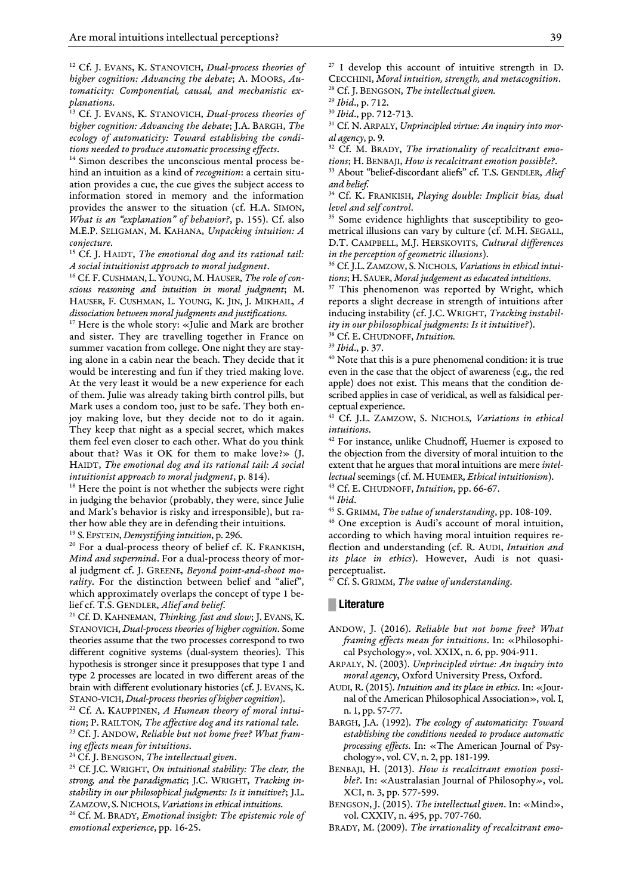<sup>12</sup> Cf. J. EVANS, K. STANOVICH, *Dual-process theories of higher cognition: Advancing the debate*; A. MOORS, *Automaticity: Componential, causal, and mechanistic explanations*.

<sup>13</sup> Cf. J. EVANS, K. STANOVICH, *Dual-process theories of higher cognition: Advancing the debate*; J.A. BARGH, *The ecology of automaticity: Toward establishing the conditions needed to produce automatic processing effects*.

<sup>14</sup> Simon describes the unconscious mental process behind an intuition as a kind of *recognition*: a certain situation provides a cue, the cue gives the subject access to information stored in memory and the information provides the answer to the situation (cf. H.A. SIMON, *What is an "explanation" of behavior?*, p. 155). Cf. also M.E.P. SELIGMAN, M. KAHANA, *Unpacking intuition: A conjecture*.

<sup>15</sup> Cf. J. HAIDT, *The emotional dog and its rational tail: A social intuitionist approach to moral judgment*.

<sup>16</sup> Cf. F.CUSHMAN, L.YOUNG, M. HAUSER, *The role of conscious reasoning and intuition in moral judgment*; M. HAUSER, F. CUSHMAN, L. YOUNG, K. JIN, J. MIKHAIL, *A dissociation between moral judgments and justifications*.

<sup>17</sup> Here is the whole story: «Julie and Mark are brother and sister. They are travelling together in France on summer vacation from college. One night they are staying alone in a cabin near the beach. They decide that it would be interesting and fun if they tried making love. At the very least it would be a new experience for each of them. Julie was already taking birth control pills, but Mark uses a condom too, just to be safe. They both enjoy making love, but they decide not to do it again. They keep that night as a special secret, which makes them feel even closer to each other. What do you think about that? Was it OK for them to make love?» (J. HAIDT, *The emotional dog and its rational tail: A social intuitionist approach to moral judgment*, p. 814).

<sup>18</sup> Here the point is not whether the subjects were right in judging the behavior (probably, they were, since Julie and Mark's behavior is risky and irresponsible), but rather how able they are in defending their intuitions.

<sup>19</sup> S.EPSTEIN, *Demystifying intuition*, p. 296.

<sup>20</sup> For a dual-process theory of belief cf. K. FRANKISH, *Mind and supermind*. For a dual-process theory of moral judgment cf. J. GREENE, *Beyond point-and-shoot morality*. For the distinction between belief and "alief", which approximately overlaps the concept of type 1 belief cf. T.S. GENDLER, *Alief and belief*.

<sup>21</sup> Cf. D. KAHNEMAN, *Thinking, fast and slow*; J. EVANS, K. STANOVICH, *Dual-process theories of higher cognition*. Some theories assume that the two processes correspond to two different cognitive systems (dual-system theories). This hypothesis is stronger since it presupposes that type 1 and type 2 processes are located in two different areas of the brain with different evolutionary histories (cf. J. EVANS, K. STANO-VICH, *Dual-process theories of higher cognition*).

<sup>22</sup> Cf. A. KAUPPINEN, *A Humean theory of moral intuition*; P. RAILTON*, The affective dog and its rational tale*.

<sup>23</sup> Cf. J. ANDOW, *Reliable but not home free? What framing effects mean for intuitions*.

<sup>24</sup> Cf. J. BENGSON, *The intellectual given*.

<sup>25</sup> Cf. J.C. WRIGHT, *On intuitional stability: The clear, the strong, and the paradigmatic*; J.C. WRIGHT, *Tracking instability in our philosophical judgments: Is it intuitive?*; J.L. ZAMZOW, S.NICHOLS, *Variations in ethical intuitions*.

<sup>26</sup> Cf. M. BRADY, *Emotional insight: The epistemic role of emotional experience*, pp. 16-25.

 $27$  I develop this account of intuitive strength in D. CECCHINI, *Moral intuition, strength, and metacognition*. <sup>28</sup> Cf. J. BENGSON, *The intellectual given.*

<sup>29</sup> *Ibid*., p. 712.

<sup>30</sup> *Ibid*., pp. 712-713.

<sup>31</sup> Cf. N.ARPALY, *Unprincipled virtue: An inquiry into moral agency*, p. 9.

<sup>32</sup> Cf. M. BRADY, *The irrationality of recalcitrant emotions*; H. BENBAJI, *How is recalcitrant emotion possible?*.

<sup>33</sup> About "belief-discordant aliefs" cf. T.S. GENDLER, *Alief and belief*.

<sup>34</sup> Cf. K. FRANKISH, *Playing double: Implicit bias, dual level and self control*.

<sup>35</sup> Some evidence highlights that susceptibility to geometrical illusions can vary by culture (cf. M.H. SEGALL, D.T. CAMPBELL, M.J. HERSKOVITS, *Cultural differences in the perception of geometric illusions*).

<sup>36</sup> Cf. J.L.ZAMZOW, S.NICHOLS, *Variations in ethical intuitions*; H. SAUER, *Moral judgement as educated intuitions*.

<sup>37</sup> This phenomenon was reported by Wright, which reports a slight decrease in strength of intuitions after inducing instability (cf. J.C. WRIGHT, *Tracking instability in our philosophical judgments: Is it intuitive?*).

<sup>38</sup> Cf. E. CHUDNOFF, *Intuition.*

<sup>39</sup> *Ibid*., p. 37.

<sup>40</sup> Note that this is a pure phenomenal condition: it is true even in the case that the object of awareness (e.g., the red apple) does not exist. This means that the condition described applies in case of veridical, as well as falsidical perceptual experience.

<sup>41</sup> Cf. J.L. ZAMZOW, S. NICHOLS*, Variations in ethical intuitions*.

<sup>42</sup> For instance, unlike Chudnoff, Huemer is exposed to the objection from the diversity of moral intuition to the extent that he argues that moral intuitions are mere *intellectual* seemings (cf. M. HUEMER, *Ethical intuitionism*).

<sup>43</sup> Cf. E. CHUDNOFF, *Intuition*, pp. 66-67.

<sup>44</sup> *Ibid*.

<sup>45</sup> S. GRIMM, *The value of understanding*, pp. 108-109.

<sup>46</sup> One exception is Audi's account of moral intuition, according to which having moral intuition requires reflection and understanding (cf. R. AUDI, *Intuition and its place in ethics*). However, Audi is not quasiperceptualist.

<sup>47</sup> Cf. S. GRIMM, *The value of understanding*.

#### **█ Literature**

- ANDOW, J. (2016). *Reliable but not home free? What framing effects mean for intuitions*. In: «Philosophical Psychology», vol. XXIX, n. 6, pp. 904-911.
- ARPALY, N. (2003). *Unprincipled virtue: An inquiry into moral agency*, Oxford University Press, Oxford.
- AUDI, R. (2015). *Intuition and its place in ethics*. In: «Journal of the American Philosophical Association», vol. I, n. 1, pp. 57-77.
- BARGH, J.A. (1992). *The ecology of automaticity: Toward establishing the conditions needed to produce automatic processing effects*. In: «The American Journal of Psychology», vol. CV, n. 2, pp. 181-199.
- BENBAJI, H. (2013). *How is recalcitrant emotion possible?*. In: «Australasian Journal of Philosophy*»*, vol. XCI, n. 3, pp. 577-599.
- BENGSON, J. (2015). *The intellectual given*. In: «Mind», vol. CXXIV, n. 495, pp. 707-760.

BRADY, M. (2009). *The irrationality of recalcitrant emo-*